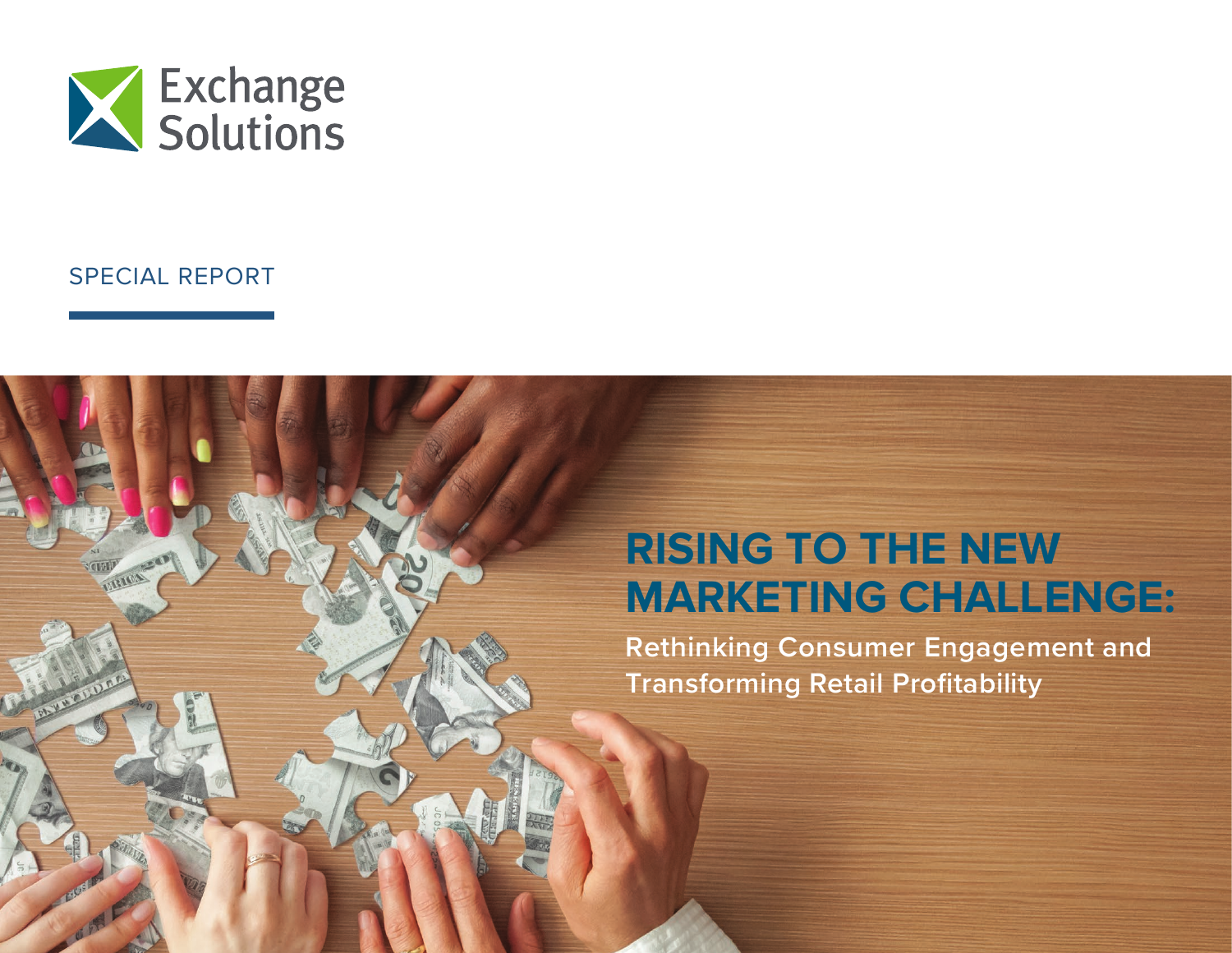

## SPECIAL REPORT

# **RISING TO THE NEW MARKETING CHALLENGE: Rethinking Consumer Engagement and Transforming Retail Profitability**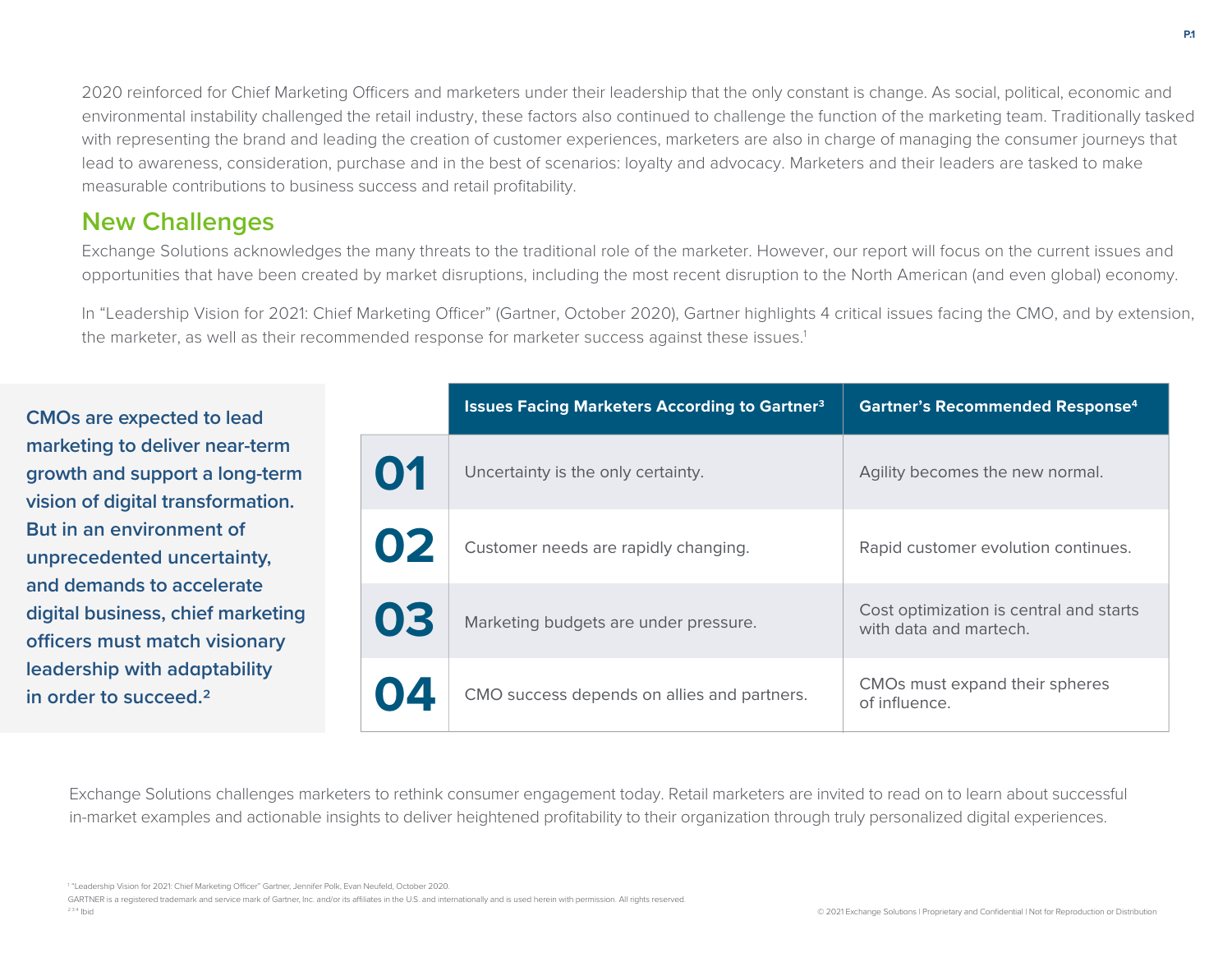2020 reinforced for Chief Marketing Officers and marketers under their leadership that the only constant is change. As social, political, economic and environmental instability challenged the retail industry, these factors also continued to challenge the function of the marketing team. Traditionally tasked with representing the brand and leading the creation of customer experiences, marketers are also in charge of managing the consumer journeys that lead to awareness, consideration, purchase and in the best of scenarios: loyalty and advocacy. Marketers and their leaders are tasked to make measurable contributions to business success and retail profitability.

# **New Challenges**

Exchange Solutions acknowledges the many threats to the traditional role of the marketer. However, our report will focus on the current issues and opportunities that have been created by market disruptions, including the most recent disruption to the North American (and even global) economy.

In "Leadership Vision for 2021: Chief Marketing Officer" (Gartner, October 2020), Gartner highlights 4 critical issues facing the CMO, and by extension, the marketer, as well as their recommended response for marketer success against these issues.<sup>1</sup>

**CMOs are expected to lead marketing to deliver near-term growth and support a long-term vision of digital transformation. But in an environment of unprecedented uncertainty, and demands to accelerate digital business, chief marketing officers must match visionary leadership with adaptability in order to succeed.2**

|    | <b>Issues Facing Marketers According to Gartner<sup>3</sup></b> | <b>Gartner's Recommended Response4</b>                            |
|----|-----------------------------------------------------------------|-------------------------------------------------------------------|
| 01 | Uncertainty is the only certainty.                              | Agility becomes the new normal.                                   |
| 02 | Customer needs are rapidly changing.                            | Rapid customer evolution continues.                               |
| 03 | Marketing budgets are under pressure.                           | Cost optimization is central and starts<br>with data and martech. |
| 04 | CMO success depends on allies and partners.                     | CMOs must expand their spheres<br>of influence.                   |

Exchange Solutions challenges marketers to rethink consumer engagement today. Retail marketers are invited to read on to learn about successful in-market examples and actionable insights to deliver heightened profitability to their organization through truly personalized digital experiences.

<sup>1</sup> "Leadership Vision for 2021: Chief Marketing Officer" Gartner, Jennifer Polk, Evan Neufeld, October 2020.

GARTNER is a registered trademark and service mark of Gartner, Inc. and/or its affiliates in the U.S. and internationally and is used herein with permission. All rights reserved.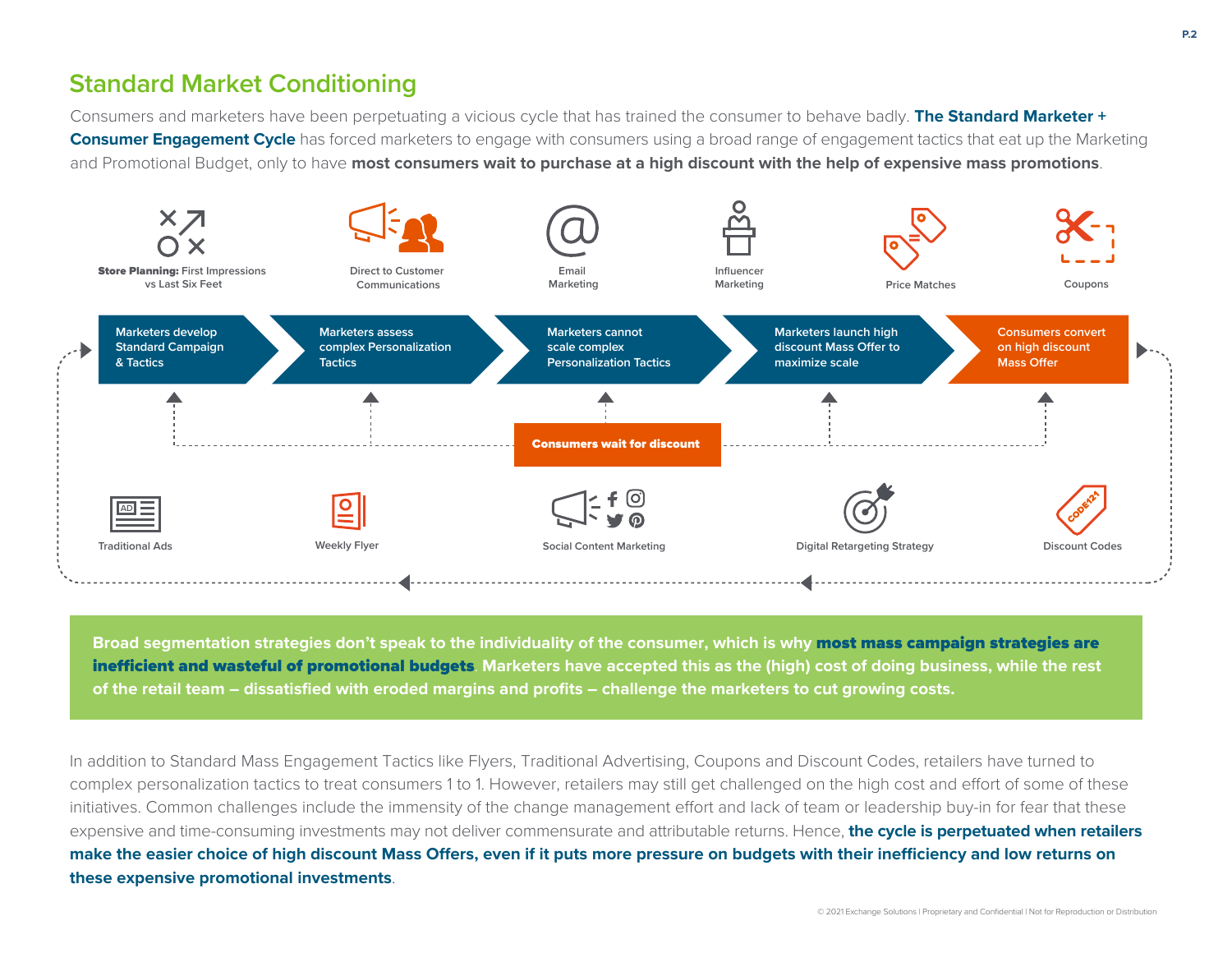# **Standard Market Conditioning**

Consumers and marketers have been perpetuating a vicious cycle that has trained the consumer to behave badly. **The Standard Marketer + Consumer Engagement Cycle** has forced marketers to engage with consumers using a broad range of engagement tactics that eat up the Marketing and Promotional Budget, only to have **most consumers wait to purchase at a high discount with the help of expensive mass promotions**.



**Broad segmentation strategies don't speak to the individuality of the consumer, which is why** most mass campaign strategies are **inefficient and wasteful of promotional budgets.** Marketers have accepted this as the (high) cost of doing business, while the rest **of the retail team – dissatisfied with eroded margins and profits – challenge the marketers to cut growing costs.** 

In addition to Standard Mass Engagement Tactics like Flyers, Traditional Advertising, Coupons and Discount Codes, retailers have turned to complex personalization tactics to treat consumers 1 to 1. However, retailers may still get challenged on the high cost and effort of some of these initiatives. Common challenges include the immensity of the change management effort and lack of team or leadership buy-in for fear that these expensive and time-consuming investments may not deliver commensurate and attributable returns. Hence, **the cycle is perpetuated when retailers** make the easier choice of high discount Mass Offers, even if it puts more pressure on budgets with their inefficiency and low returns on **these expensive promotional investments**.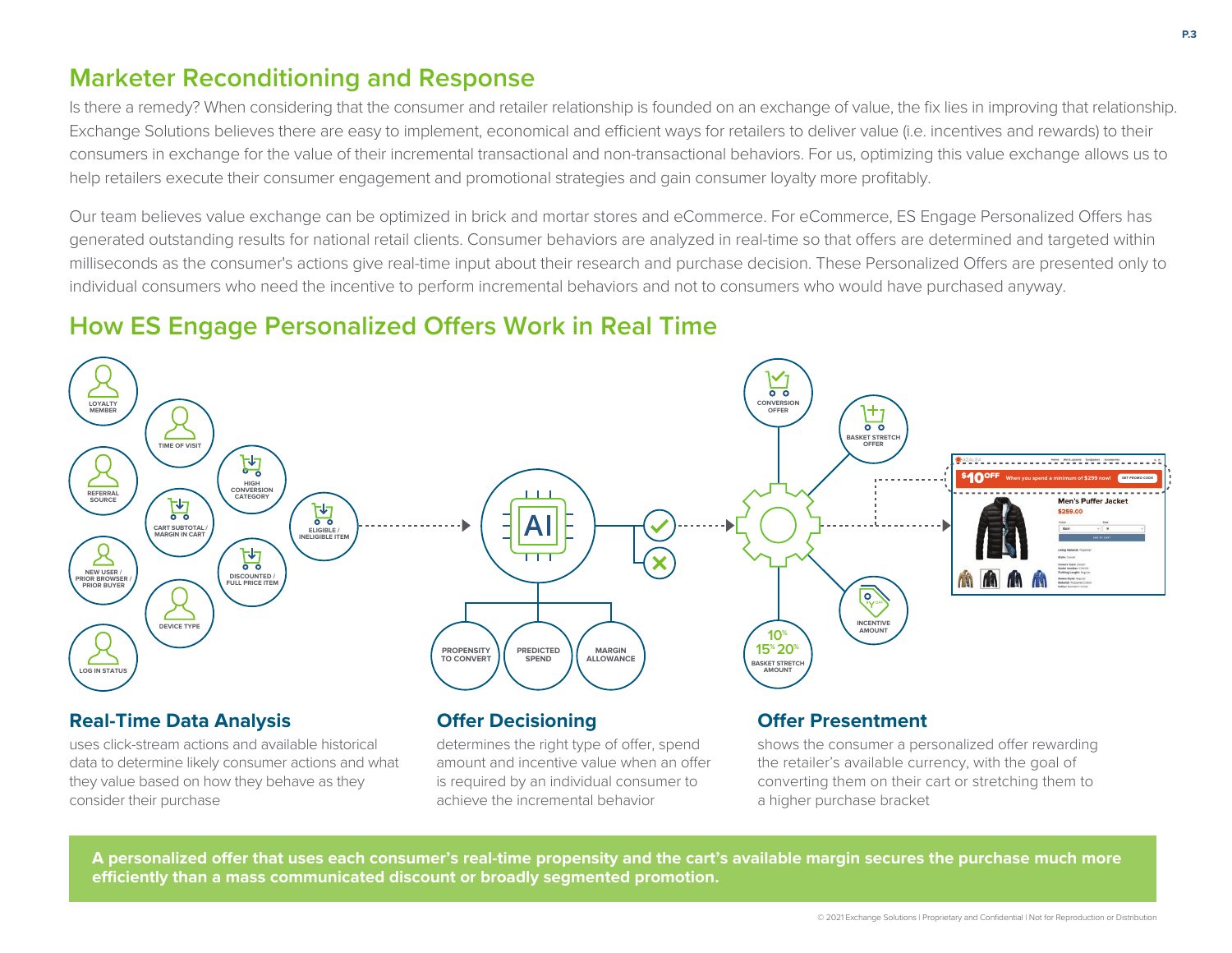# **Marketer Reconditioning and Response**

Is there a remedy? When considering that the consumer and retailer relationship is founded on an exchange of value, the fix lies in improving that relationship. Exchange Solutions believes there are easy to implement, economical and efficient ways for retailers to deliver value (i.e. incentives and rewards) to their consumers in exchange for the value of their incremental transactional and non-transactional behaviors. For us, optimizing this value exchange allows us to help retailers execute their consumer engagement and promotional strategies and gain consumer loyalty more profitably.

Our team believes value exchange can be optimized in brick and mortar stores and eCommerce, For eCommerce, ES Engage Personalized Offers has generated outstanding results for national retail clients. Consumer behaviors are analyzed in real-time so that offers are determined and targeted within milliseconds as the consumer's actions give real-time input about their research and purchase decision. These Personalized Offers are presented only to individual consumers who need the incentive to perform incremental behaviors and not to consumers who would have purchased anyway.

# **How ES Engage Personalized Offers Work in Real Time**



uses click-stream actions and available historical data to determine likely consumer actions and what they value based on how they behave as they consider their purchase

determines the right type of offer, spend amount and incentive value when an offer is required by an individual consumer to achieve the incremental behavior

shows the consumer a personalized offer rewarding the retailer's available currency, with the goal of converting them on their cart or stretching them to a higher purchase bracket

A personalized offer that uses each consumer's real-time propensity and the cart's available margin secures the purchase much more **eciently than a mass communicated discount or broadly segmented promotion.**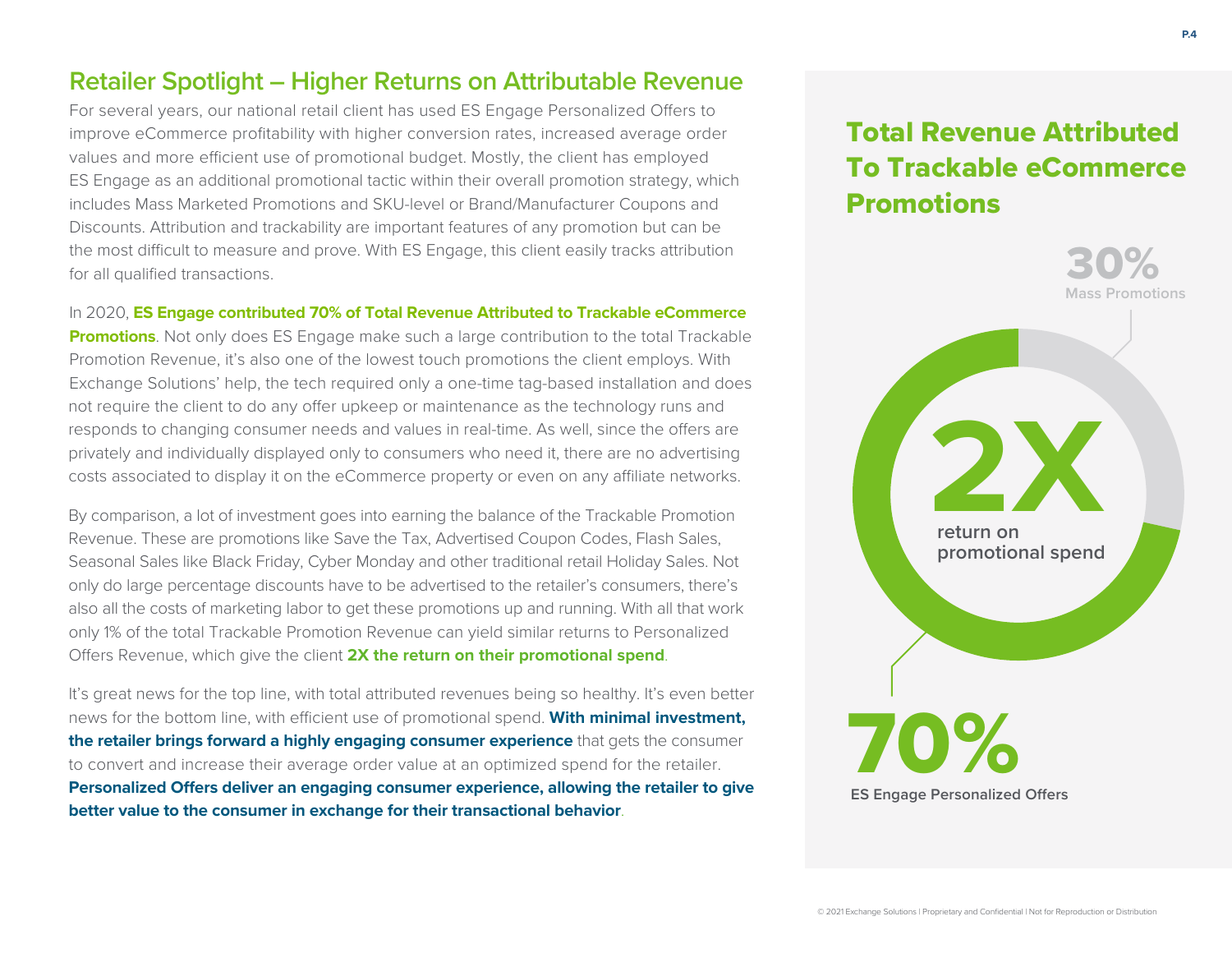# **Retailer Spotlight – Higher Returns on Attributable Revenue**

For several years, our national retail client has used ES Engage Personalized Offers to improve eCommerce profitability with higher conversion rates, increased average order values and more efficient use of promotional budget. Mostly, the client has employed ES Engage as an additional promotional tactic within their overall promotion strategy, which includes Mass Marketed Promotions and SKU-level or Brand/Manufacturer Coupons and Discounts. Attribution and trackability are important features of any promotion but can be the most difficult to measure and prove. With ES Engage, this client easily tracks attribution for all qualified transactions.

In 2020, **ES Engage contributed 70% of Total Revenue Attributed to Trackable eCommerce** 

**Promotions**. Not only does ES Engage make such a large contribution to the total Trackable Promotion Revenue, it's also one of the lowest touch promotions the client employs. With Exchange Solutions' help, the tech required only a one-time tag-based installation and does not require the client to do any offer upkeep or maintenance as the technology runs and responds to changing consumer needs and values in real-time. As well, since the offers are privately and individually displayed only to consumers who need it, there are no advertising costs associated to display it on the eCommerce property or even on any affiliate networks.

By comparison, a lot of investment goes into earning the balance of the Trackable Promotion Revenue. These are promotions like Save the Tax, Advertised Coupon Codes, Flash Sales, Seasonal Sales like Black Friday, Cyber Monday and other traditional retail Holiday Sales. Not only do large percentage discounts have to be advertised to the retailer's consumers, there's also all the costs of marketing labor to get these promotions up and running. With all that work only 1% of the total Trackable Promotion Revenue can yield similar returns to Personalized Offers Revenue, which give the client **2X the return on their promotional spend**.

It's great news for the top line, with total attributed revenues being so healthy. It's even better news for the bottom line, with efficient use of promotional spend. With minimal investment, **the retailer brings forward a highly engaging consumer experience** that gets the consumer to convert and increase their average order value at an optimized spend for the retailer. Personalized Offers deliver an engaging consumer experience, allowing the retailer to give **better value to the consumer in exchange for their transactional behavior**.

# Total Revenue Attributed To Trackable eCommerce Promotions

![](_page_4_Picture_7.jpeg)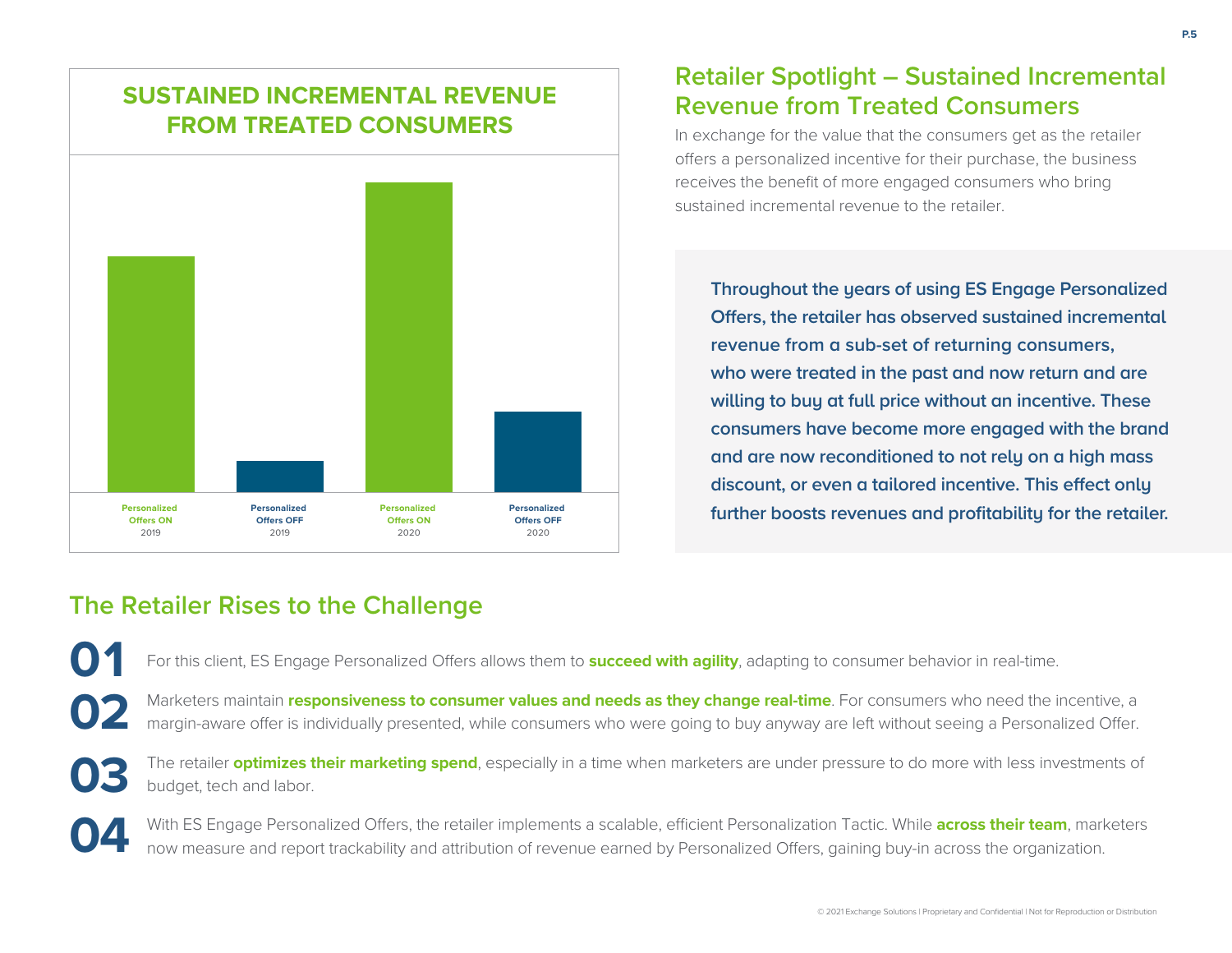# **SUSTAINED INCREMENTAL REVENUE FROM TREATED CONSUMERS**

![](_page_5_Figure_1.jpeg)

# **Retailer Spotlight – Sustained Incremental Revenue from Treated Consumers**

In exchange for the value that the consumers get as the retailer offers a personalized incentive for their purchase, the business receives the benefit of more engaged consumers who bring sustained incremental revenue to the retailer.

**Throughout the years of using ES Engage Personalized Offers, the retailer has observed sustained incremental revenue from a sub-set of returning consumers, who were treated in the past and now return and are willing to buy at full price without an incentive. These consumers have become more engaged with the brand and are now reconditioned to not rely on a high mass discount, or even a tailored incentive. This effect only further boosts revenues and profitability for the retailer.**

# **The Retailer Rises to the Challenge**

For this client, ES Engage Personalized Offers allows them to **succeed with agility**, adapting to consumer behavior in real-time. **01**

Marketers maintain **responsiveness to consumer values and needs as they change real-time**. For consumers who need the incentive, a margin-aware offer is individually presented, while consumers who were going to buy anyway are left without seeing a Personalized Offer. **02**

The retailer **optimizes their marketing spend**, especially in a time when marketers are under pressure to do more with less investments of budget, tech and labor. **03**

With ES Engage Personalized Offers, the retailer implements a scalable, efficient Personalization Tactic. While across their team, marketers now measure and report trackability and attribution of revenue earned by Personalized Offers, gaining buy-in across the organization. **04**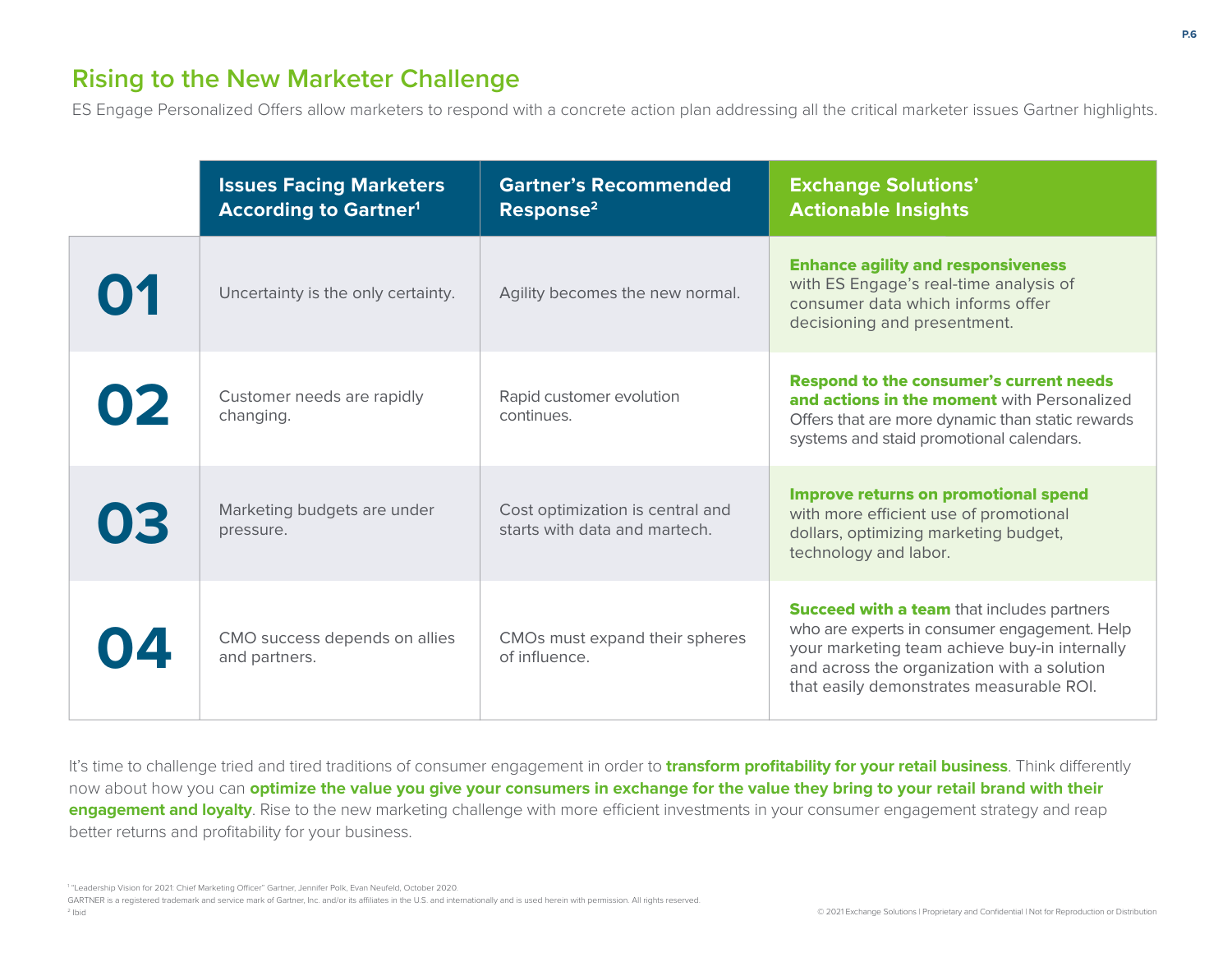# **Rising to the New Marketer Challenge**

ES Engage Personalized Offers allow marketers to respond with a concrete action plan addressing all the critical marketer issues Gartner highlights.

|    | <b>Issues Facing Marketers</b><br><b>According to Gartner<sup>1</sup></b> | <b>Gartner's Recommended</b><br>Response <sup>2</sup>             | <b>Exchange Solutions'</b><br><b>Actionable Insights</b>                                                                                                                                                                                      |
|----|---------------------------------------------------------------------------|-------------------------------------------------------------------|-----------------------------------------------------------------------------------------------------------------------------------------------------------------------------------------------------------------------------------------------|
| 01 | Uncertainty is the only certainty.                                        | Agility becomes the new normal.                                   | <b>Enhance agility and responsiveness</b><br>with ES Engage's real-time analysis of<br>consumer data which informs offer<br>decisioning and presentment.                                                                                      |
| 02 | Customer needs are rapidly<br>changing.                                   | Rapid customer evolution<br>continues.                            | Respond to the consumer's current needs<br>and actions in the moment with Personalized<br>Offers that are more dynamic than static rewards<br>systems and staid promotional calendars.                                                        |
| 03 | Marketing budgets are under<br>pressure.                                  | Cost optimization is central and<br>starts with data and martech. | Improve returns on promotional spend<br>with more efficient use of promotional<br>dollars, optimizing marketing budget,<br>technology and labor.                                                                                              |
|    | CMO success depends on allies<br>and partners.                            | CMOs must expand their spheres<br>of influence.                   | <b>Succeed with a team that includes partners</b><br>who are experts in consumer engagement. Help<br>your marketing team achieve buy-in internally<br>and across the organization with a solution<br>that easily demonstrates measurable ROI. |

It's time to challenge tried and tired traditions of consumer engagement in order to **transform profitability for your retail business**. Think differently now about how you can **optimize the value you give your consumers in exchange for the value they bring to your retail brand with their engagement and loyalty**. Rise to the new marketing challenge with more efficient investments in your consumer engagement strategy and reap better returns and profitability for your business.

<sup>1</sup> "Leadership Vision for 2021: Chief Marketing Officer" Gartner, Jennifer Polk, Evan Neufeld, October 2020.

GARTNER is a registered trademark and service mark of Gartner, Inc. and/or its affiliates in the U.S. and internationally and is used herein with permission. All rights reserved.

2 Ibid